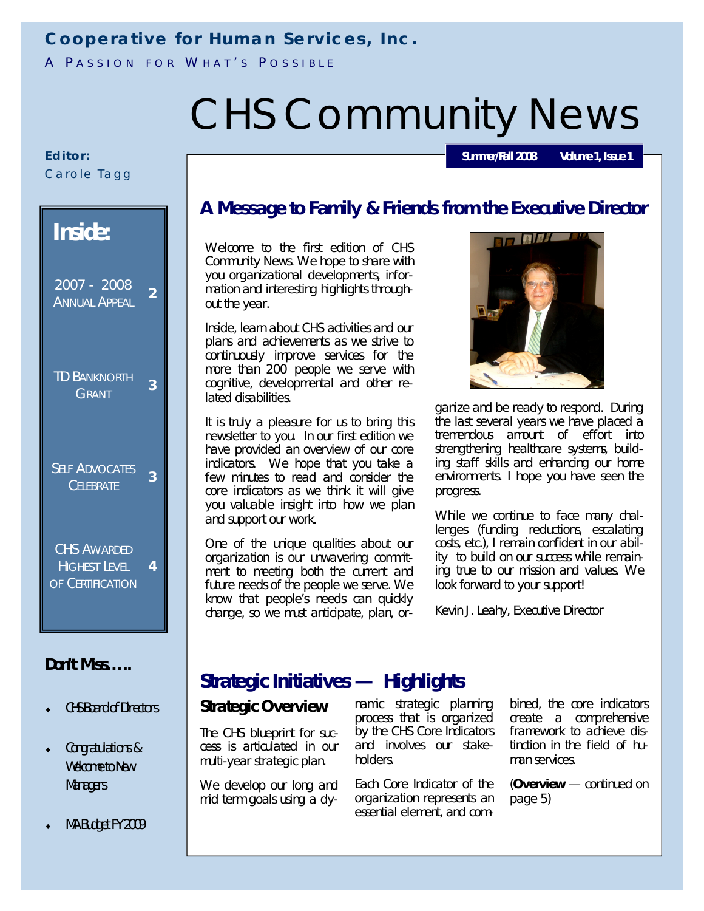# **Cooperative for Human Services, Inc.**

A PASSION FOR WHAT'S POSSIBLE

# CHS Community News

#### **E d i t o r:** Carole Tagg

| <b>Inside:</b>                                                 |                |  |  |
|----------------------------------------------------------------|----------------|--|--|
| $2007 - 2008$<br><b>ANNUAL APPEAL</b>                          | $\overline{2}$ |  |  |
| <b>TD BANKNORTH</b><br>GRANT                                   | 3              |  |  |
| <b>SELF ADVOCATES</b><br><b>CELEBRATE</b>                      | 3              |  |  |
| <b>CHS AWARDED</b><br><b>HIGHEST LEVEL</b><br>OF CERTIFICATION | 4              |  |  |
| Don't Miss                                                     |                |  |  |

- CHS Board of Directors
- Congratulations & Welcome to New **Managers**

# **A Message to Family & Friends from the Executive Director**

Welcome to the first edition of CHS Community News. We hope to share with you organizational developments, information and interesting highlights throughout the year.

Inside, learn about CHS activities and our plans and achievements as we strive to continuously improve services for the more than 200 people we serve with cognitive, developmental and other related disabilities.

It is truly a pleasure for us to bring this newsletter to you. In our first edition we have provided an overview of our core indicators. We hope that you take a few minutes to read and consider the core indicators as we think it will give you valuable insight into how we plan and support our work.

One of the unique qualities about our organization is our unwavering commitment to meeting both the current and future needs of the people we serve. We know that people's needs can quickly change, so we must anticipate, plan, or-



**Summer/Fall 2008 Volume 1, Issue 1**

ganize and be ready to respond. During the last several years we have placed a tremendous amount of effort into strengthening healthcare systems, building staff skills and enhancing our home environments. I hope you have seen the progress.

While we continue to face many challenges (funding reductions, escalating costs, etc.), I remain confident in our ability to build on our success while remaining true to our mission and values. We look forward to your support!

Kevin J. Leahy, Executive Director

# **Strategic Initiatives — Highlights**

#### **Strategic Overview**

The CHS blueprint for success is articulated in our multi-year strategic plan.

We develop our long and mid term goals using a dynamic strategic planning process that is organized by the CHS Core Indicators and involves our stakeholders.

Each Core Indicator of the organization represents an essential element, and combined, the core indicators create a comprehensive framework to achieve distinction in the field of human services.

(**Overview** — continued on page 5)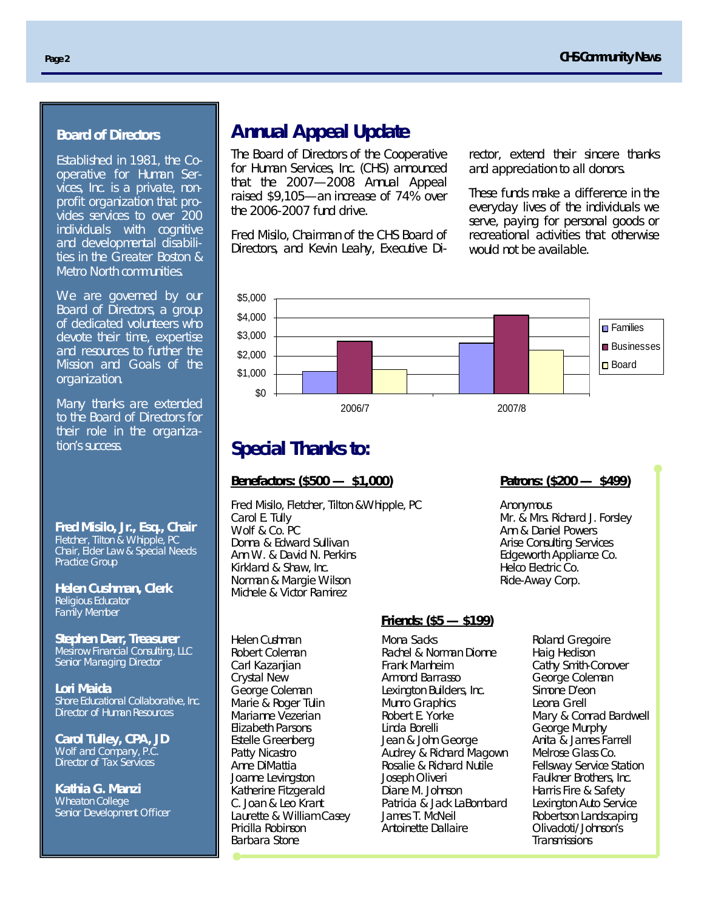#### **Board of Directors**

Established in 1981, the Cooperative for Human Services, Inc. is a private, nonprofit organization that provides services to over 200 individuals with cognitive and developmental disabilities in the Greater Boston & Metro North communities.

We are governed by our Board of Directors, a group of dedicated volunteers who devote their time, expertise and resources to further the Mission and Goals of the organization.

Many thanks are extended to the Board of Directors for their role in the organization's success.

**Fred Misilo, Jr., Esq., Chair**  Fletcher, Tilton & Whipple, PC Chair, Elder Law & Special Needs Practice Group

**Helen Cushman, Clerk**  Religious Educator Family Member

**Stephen Darr, Treasurer**  Mesirow Financial Consulting, LLC Senior Managing Director

**Lori Maida** Shore Educational Collaborative, Inc. Director of Human Resources

**Carol Tulley, CPA, JD** Wolf and Company, P.C. Director of Tax Services

**Kathia G. Manzi**  Wheaton College Senior Development Officer

# **Annual Appeal Update**

The Board of Directors of the Cooperative for Human Services, Inc. (CHS) announced that the 2007—2008 Annual Appeal raised \$9,105—an increase of 74% over the 2006-2007 fund drive.

Fred Misilo, Chairman of the CHS Board of Directors, and Kevin Leahy, Executive Director, extend their sincere thanks and appreciation to all donors.

These funds make a difference in the everyday lives of the individuals we serve, paying for personal goods or recreational activities that otherwise would not be available.



# **Special Thanks to:**

#### **Benefactors: (\$500 — \$1,000)**

Fred Misilo, Fletcher, Tilton &Whipple, PC Carol E. Tully Wolf & Co. PC Donna & Edward Sullivan Ann W. & David N. Perkins Kirkland & Shaw, Inc. Norman & Margie Wilson Michele & Victor Ramirez

Helen Cushman Robert Coleman Carl Kazanijan Crystal New George Coleman Marie & Roger Tulin Marianne Vezerian Elizabeth Parsons Estelle Greenberg Patty Nicastro Anne DiMattia Joanne Levingston Katherine Fitzgerald C. Joan & Leo Krant Laurette & William Casey Pricilla Robinson Barbara Stone

#### **Patrons: (\$200 — \$499)**

Anonymous Mr. & Mrs. Richard J. Forsley Ann & Daniel Powers Arise Consulting Services Edgeworth Appliance Co. Helco Electric Co. Ride-Away Corp.

#### **Friends: (\$5 — \$199)**

Mona Sacks Rachel & Norman Dionne Frank Manheim Armond Barrasso Lexington Builders, Inc. Munro Graphics Robert E. Yorke Linda Borelli Jean & John George Audrey & Richard Magown Rosalie & Richard Nutile Joseph Oliveri Diane M. Johnson Patricia & Jack LaBombard James T. McNeil Antoinette Dallaire

Roland Gregoire Haig Hedison Cathy Smith-Conover George Coleman Simone D'eon Leona Grell Mary & Conrad Bardwell George Murphy Anita & James Farrell Melrose Glass Co. Fellsway Service Station Faulkner Brothers, Inc. Harris Fire & Safety Lexington Auto Service Robertson Landscaping Olivadoti/Johnson's **Transmissions**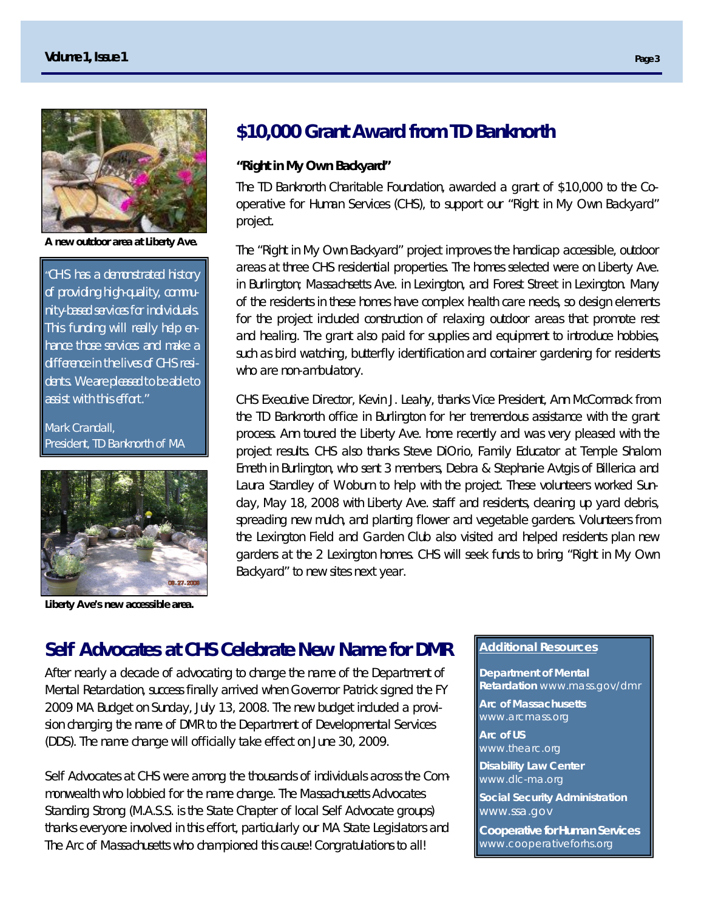

**A new outdoor area at Liberty Ave.**

*"CHS has a demonstrated history of providing high-quality, community-based services for individuals. This funding will really help enhance those services and make a difference in the lives of CHS residents. We are pleased to be able to assist with this effort."*

Mark Crandall, President, TD Banknorth of MA



**Liberty Ave's new accessible area.**

# **\$10,000 Grant Award from TD Banknorth**

#### **"Right in My Own Backyard"**

The TD Banknorth Charitable Foundation, awarded a grant of \$10,000 to the Cooperative for Human Services (CHS), to support our "Right in My Own Backyard" project.

The "Right in My Own Backyard" project improves the handicap accessible, outdoor areas at three CHS residential properties. The homes selected were on Liberty Ave. in Burlington; Massachsetts Ave. in Lexington, and Forest Street in Lexington. Many of the residents in these homes have complex health care needs, so design elements for the project included construction of relaxing outdoor areas that promote rest and healing. The grant also paid for supplies and equipment to introduce hobbies, such as bird watching, butterfly identification and container gardening for residents who are non-ambulatory.

CHS Executive Director, Kevin J. Leahy, thanks Vice President, Ann McCormack from the TD Banknorth office in Burlington for her tremendous assistance with the grant process. Ann toured the Liberty Ave. home recently and was very pleased with the project results. CHS also thanks Steve DiOrio, Family Educator at Temple Shalom Emeth in Burlington, who sent 3 members, Debra & Stephanie Avtgis of Billerica and Laura Standley of Woburn to help with the project. These volunteers worked Sunday, May 18, 2008 with Liberty Ave. staff and residents, cleaning up yard debris, spreading new mulch, and planting flower and vegetable gardens. Volunteers from the Lexington Field and Garden Club also visited and helped residents plan new gardens at the 2 Lexington homes. CHS will seek funds to bring "Right in My Own Backyard" to new sites next year.

# **Self Advocates at CHS Celebrate New Name for DMR**

After nearly a decade of advocating to change the name of the Department of Mental Retardation, success finally arrived when Governor Patrick signed the FY 2009 MA Budget on Sunday, July 13, 2008. The new budget included a provision changing the name of DMR to the Department of Developmental Services (DDS). The name change will officially take effect on June 30, 2009.

Self Advocates at CHS were among the thousands of individuals across the Commonwealth who lobbied for the name change. The Massachusetts Advocates Standing Strong (M.A.S.S. is the State Chapter of local Self Advocate groups) thanks everyone involved in this effort, particularly our MA State Legislators and The Arc of Massachusetts who championed this cause! Congratulations to all!

#### **Additional Resources**

**Department of Mental Retardation** www.mass.gov/dmr **Arc of Massachusetts** www.arcmass.org **Arc of US** www.thearc.org **Disability Law Center** www.dlc-ma.org **Social Security Administration** www.ssa.gov **Cooperative for Human Services** 

www.cooperativeforhs.org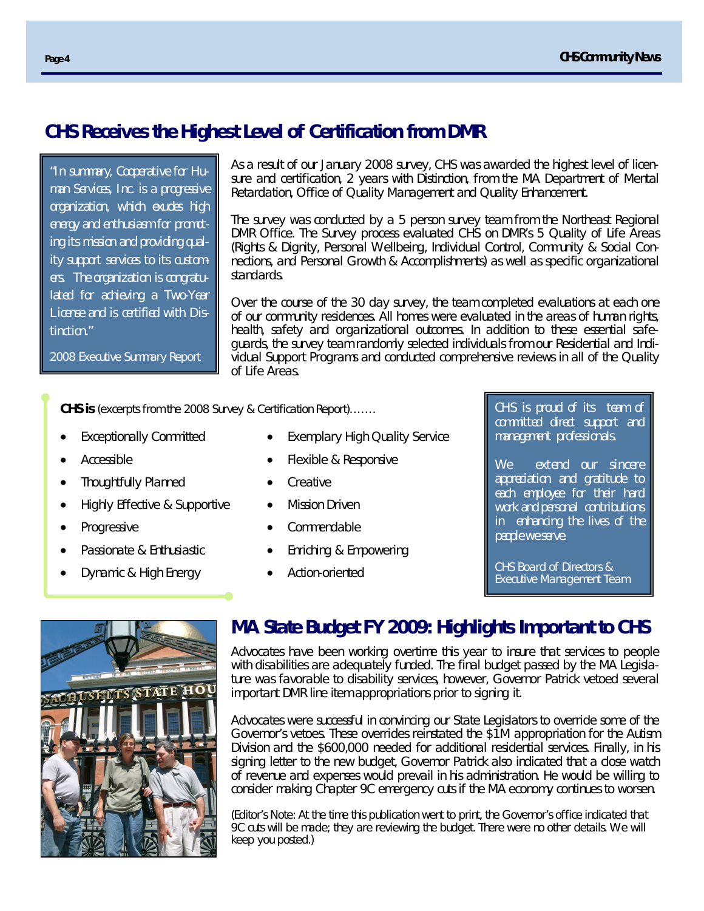## **CHS Receives the Highest Level of Certification from DMR**

*"In summary, Cooperative for Human Services, Inc. is a progressive organization, which exudes high energy and enthusiasm for promoting its mission and providing quality support services to its customers. The organization is congratulated for achieving a Two-Year License and is certified with Distinction."* 

As a result of our January 2008 survey, CHS was awarded the highest level of licensure and certification, 2 years with Distinction, from the MA Department of Mental Retardation, Office of Quality Management and Quality Enhancement.

The survey was conducted by a 5 person survey team from the Northeast Regional DMR Office. The Survey process evaluated CHS on DMR's 5 Quality of Life Areas (Rights & Dignity, Personal Wellbeing, Individual Control, Community & Social Connections, and Personal Growth & Accomplishments) as well as specific organizational standards.

Over the course of the 30 day survey, the team completed evaluations at each one of our community residences. All homes were evaluated in the areas of human rights, health, safety and organizational outcomes. In addition to these essential safeguards, the survey team randomly selected individuals from our Residential and Individual Support Programs and conducted comprehensive reviews in all of the Quality of Life Areas.

**CHS is** (excerpts from the 2008 Survey & Certification Report)…….

Exceptionally Committed

2008 Executive Summary Report

- Accessible
- Thoughtfully Planned
- Highly Effective & Supportive
- Progressive
- Passionate & Enthusiastic
- Dynamic & High Energy
- Exemplary High Quality Service
- Flexible & Responsive
- **Creative**
- Mission Driven
- Commendable
- Enriching & Empowering
- Action-oriented

*CHS is proud of its team of committed direct support and management professionals.* 

*We extend our sincere appreciation and gratitude to each employee for their hard work and personal contributions in enhancing the lives of the people we serve.*

CHS Board of Directors & Executive Management Team



# **MA State Budget FY 2009: Highlights Important to CHS**

Advocates have been working overtime this year to insure that services to people with disabilities are adequately funded. The final budget passed by the MA Legislature was favorable to disability services, however, Governor Patrick vetoed several important DMR line item appropriations prior to signing it.

Advocates were successful in convincing our State Legislators to override some of the Governor's vetoes. These overrides reinstated the \$1M appropriation for the Autism Division and the \$600,000 needed for additional residential services. Finally, in his signing letter to the new budget, Governor Patrick also indicated that a close watch of revenue and expenses would prevail in his administration. He would be willing to consider making Chapter 9C emergency cuts if the MA economy continues to worsen.

(Editor's Note: At the time this publication went to print, the Governor's office indicated that 9C cuts will be made; they are reviewing the budget. There were no other details. We will keep you posted.)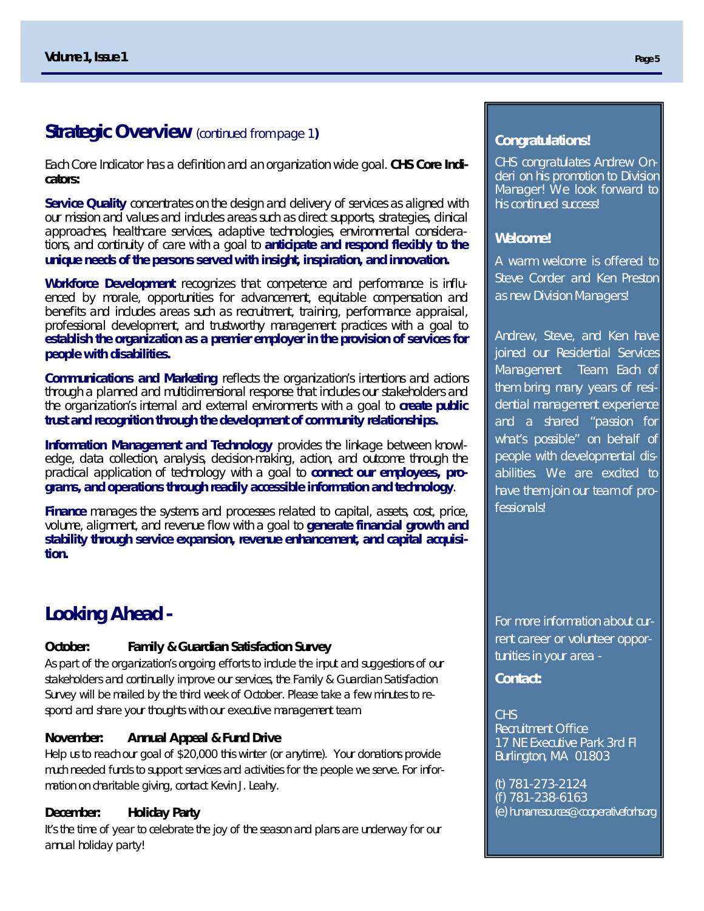### **Strategic Overview** (continued from page 1**)**

Each Core Indicator has a definition and an organization wide goal. **CHS Core Indicators:**

**Service Quality** concentrates on the design and delivery of services as aligned with our mission and values and includes areas such as direct supports, strategies, clinical approaches, healthcare services, adaptive technologies, environmental considerations, and continuity of care with a goal to **anticipate and respond flexibly to the unique needs of the persons served with insight, inspiration, and innovation.** 

**Workforce Development** recognizes that competence and performance is influenced by morale, opportunities for advancement, equitable compensation and benefits and includes areas such as recruitment, training, performance appraisal, professional development, and trustworthy management practices with a goal to **establish the organization as a premier employer in the provision of services for people with disabilities.** 

**Communications and Marketing** reflects the organization's intentions and actions through a planned and multidimensional response that includes our stakeholders and the organization's internal and external environments with a goal to **create public trust and recognition through the development of community relationships***.*

**Information Management and Technology** provides the linkage between knowledge, data collection, analysis, decision-making, action, and outcome through the practical application of technology with a goal to **connect our employees, programs, and operations through readily accessible information and technology**.

**Finance** manages the systems and processes related to capital, assets, cost, price, volume, alignment, and revenue flow with a goal to **generate financial growth and stability through service expansion, revenue enhancement, and capital acquisition.**

# **Looking Ahead -**

#### **October: Family & Guardian Satisfaction Survey**

As part of the organization's ongoing efforts to include the input and suggestions of our stakeholders and continually improve our services, the Family & Guardian Satisfaction Survey will be mailed by the third week of October. Please take a few minutes to respond and share your thoughts with our executive management team.

#### **November: Annual Appeal & Fund Drive**

Help us to reach our goal of \$20,000 this winter (or anytime). Your donations provide much needed funds to support services and activities for the people we serve. For information on charitable giving, contact Kevin J. Leahy.

#### **December: Holiday Party**

It's the time of year to celebrate the joy of the season and plans are underway for our annual holiday party!

#### **Congratulations!**

CHS congratulates Andrew Onderi on his promotion to Division Manager! We look forward to his continued success!

#### **Welcome!**

A warm welcome is offered to Steve Corder and Ken Preston as new Division Managers!

Andrew, Steve, and Ken have joined our Residential Services Management Team. Each of them bring many years of residential management experience and a shared "passion for what's possible" on behalf of people with developmental disabilities. We are excited to have them join our team of professionals!

For more information about current career or volunteer opportunities in your area -

**Contact:**

#### **CHS**

Recruitment Office 17 NE Executive Park 3rd Fl Burlington, MA 01803

(t) 781-273-2124 (f) 781-238-6163 (e) humanresources@cooperativeforhs.org